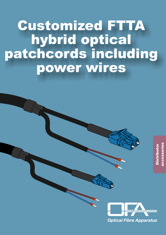# **Customized FTTA** hybrid optical patchcords including power wires

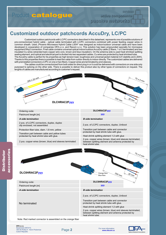## Product catalogue

optical networks components

#### **passive networks active components**

**services**

### **Customized outdoor patchcords AccuDry, LC/PC**

Customized outdoor patchcords with LC/PC connectors described in this datasheet, represents one of possible solutions of pre-connectorized hybrid cable - optical cable terminated with LC/PC connectors combined with power feeding copper wires in common sheath. Used "Phoenix Microwave Hybrid Cable LS0H" was designed as indoor/outdoor universal cable and have been developed in cooperation of companies OFA s.r.o. and Racom s.r.o. This solution has been propounded specially for microwave equipment RAy2 connection. Final cable contains universal optical indoor/outdoor AccuDry cable (2 fibers, 1 or 2 terminated) and two insulated Cu wires (stranded bare copper wire core, brown and blue insulation). On the antenna side is used heat shrinked splitting sealing element, and optical and electrical part is divided into two separated cables. Cu wires are protected by heat shrinked tube. The AccuDry cable is perfect for its properties as high tension load, toughness and universal jacket material (UV stability and LS0H). Thanks to this properties there is possible to lead the cable from outdor directly to indoor directly. The customized cables are delivered with preinstalled connectors LC/PC on one or two fibers. Copper wires are terminated by end-sleeves.

The cables could be connectorized from both sides for direct plug in or it could be delivered with connectors on one side only purposed to splicing on the other side. There is possible to deliver this product also by other types of connectors on request. The lenghts of cables are manufactured according to customer's request.